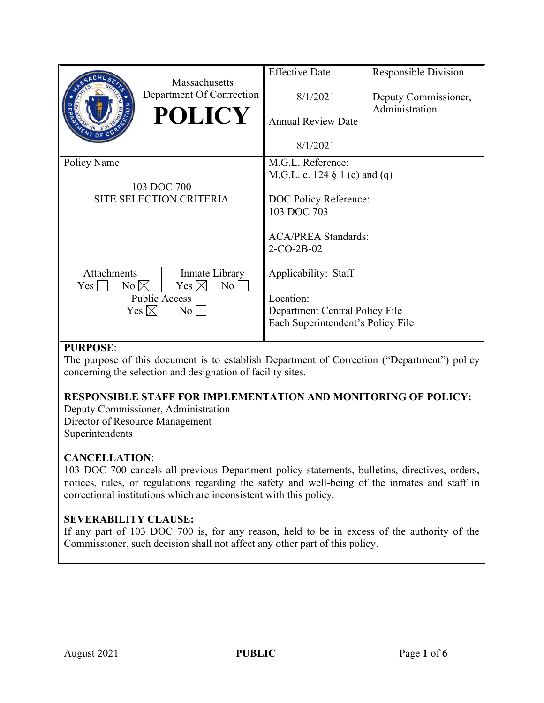|                                | Massachusetts             | <b>Effective Date</b>             | <b>Responsible Division</b>            |
|--------------------------------|---------------------------|-----------------------------------|----------------------------------------|
|                                | Department Of Corrrection | 8/1/2021                          | Deputy Commissioner,<br>Administration |
|                                | <b>POLICY</b>             | <b>Annual Review Date</b>         |                                        |
|                                |                           | 8/1/2021                          |                                        |
| Policy Name                    |                           | M.G.L. Reference:                 |                                        |
|                                |                           | M.G.L. c. 124 $\S$ 1 (c) and (q)  |                                        |
| 103 DOC 700                    |                           |                                   |                                        |
| <b>SITE SELECTION CRITERIA</b> |                           | DOC Policy Reference:             |                                        |
|                                |                           | 103 DOC 703                       |                                        |
|                                |                           | <b>ACA/PREA Standards:</b>        |                                        |
|                                |                           | $2-CO-2B-02$                      |                                        |
|                                |                           |                                   |                                        |
| Attachments                    | Inmate Library            | Applicability: Staff              |                                        |
| $No \boxtimes$<br>Yes          | Yes $\boxtimes$<br>No     |                                   |                                        |
| <b>Public Access</b>           |                           | Location:                         |                                        |
| Yes $\boxtimes$<br>$\rm{No}$   |                           | Department Central Policy File    |                                        |
|                                |                           | Each Superintendent's Policy File |                                        |
|                                |                           |                                   |                                        |

# **PURPOSE**:

The purpose of this document is to establish Department of Correction ("Department") policy concerning the selection and designation of facility sites.

# **RESPONSIBLE STAFF FOR IMPLEMENTATION AND MONITORING OF POLICY:**

Deputy Commissioner, Administration Director of Resource Management Superintendents

# **CANCELLATION**:

103 DOC 700 cancels all previous Department policy statements, bulletins, directives, orders, notices, rules, or regulations regarding the safety and well-being of the inmates and staff in correctional institutions which are inconsistent with this policy.

# **SEVERABILITY CLAUSE:**

If any part of 103 DOC 700 is, for any reason, held to be in excess of the authority of the Commissioner, such decision shall not affect any other part of this policy.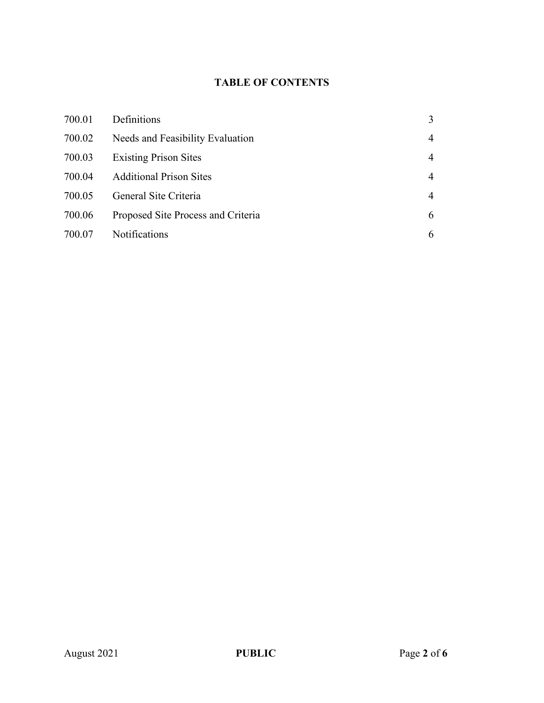# **TABLE OF CONTENTS**

| 700.01 | Definitions                        | 3              |
|--------|------------------------------------|----------------|
| 700.02 | Needs and Feasibility Evaluation   | 4              |
| 700.03 | <b>Existing Prison Sites</b>       | 4              |
| 700.04 | <b>Additional Prison Sites</b>     | $\overline{4}$ |
| 700.05 | General Site Criteria              | $\overline{4}$ |
| 700.06 | Proposed Site Process and Criteria | 6              |
| 700.07 | Notifications                      | 6              |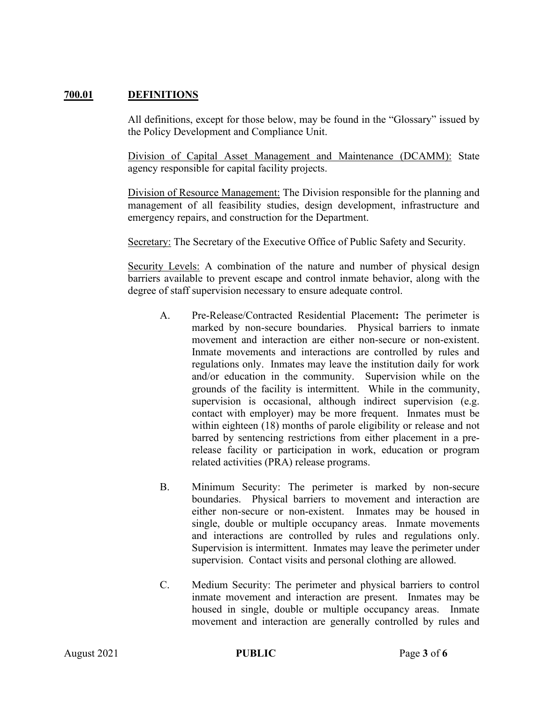# **700.01 DEFINITIONS**

All definitions, except for those below, may be found in the "Glossary" issued by the Policy Development and Compliance Unit.

Division of Capital Asset Management and Maintenance (DCAMM): State agency responsible for capital facility projects.

Division of Resource Management: The Division responsible for the planning and management of all feasibility studies, design development, infrastructure and emergency repairs, and construction for the Department.

Secretary: The Secretary of the Executive Office of Public Safety and Security.

Security Levels: A combination of the nature and number of physical design barriers available to prevent escape and control inmate behavior, along with the degree of staff supervision necessary to ensure adequate control.

- A. Pre-Release/Contracted Residential Placement**:** The perimeter is marked by non-secure boundaries. Physical barriers to inmate movement and interaction are either non-secure or non-existent. Inmate movements and interactions are controlled by rules and regulations only. Inmates may leave the institution daily for work and/or education in the community. Supervision while on the grounds of the facility is intermittent. While in the community, supervision is occasional, although indirect supervision (e.g. contact with employer) may be more frequent. Inmates must be within eighteen (18) months of parole eligibility or release and not barred by sentencing restrictions from either placement in a prerelease facility or participation in work, education or program related activities (PRA) release programs.
- B. Minimum Security: The perimeter is marked by non-secure boundaries. Physical barriers to movement and interaction are either non-secure or non-existent. Inmates may be housed in single, double or multiple occupancy areas. Inmate movements and interactions are controlled by rules and regulations only. Supervision is intermittent. Inmates may leave the perimeter under supervision. Contact visits and personal clothing are allowed.
- C. Medium Security: The perimeter and physical barriers to control inmate movement and interaction are present. Inmates may be housed in single, double or multiple occupancy areas. Inmate movement and interaction are generally controlled by rules and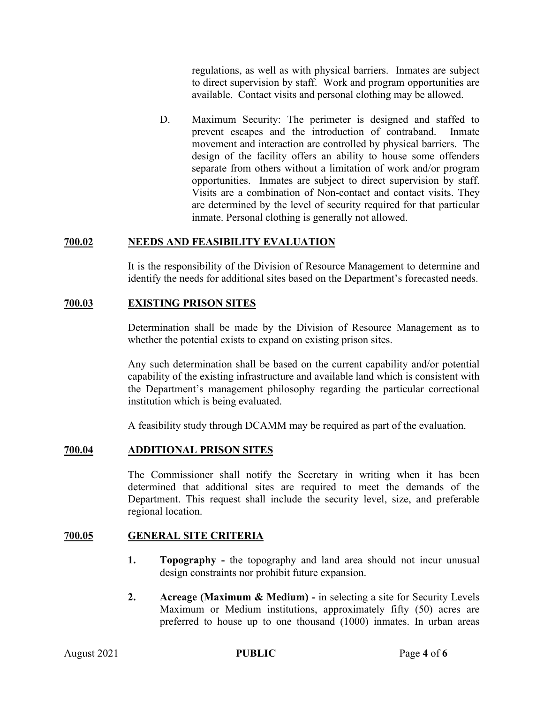regulations, as well as with physical barriers. Inmates are subject to direct supervision by staff. Work and program opportunities are available. Contact visits and personal clothing may be allowed.

D. Maximum Security: The perimeter is designed and staffed to prevent escapes and the introduction of contraband. Inmate movement and interaction are controlled by physical barriers. The design of the facility offers an ability to house some offenders separate from others without a limitation of work and/or program opportunities. Inmates are subject to direct supervision by staff. Visits are a combination of Non-contact and contact visits. They are determined by the level of security required for that particular inmate. Personal clothing is generally not allowed.

## **700.02 NEEDS AND FEASIBILITY EVALUATION**

It is the responsibility of the Division of Resource Management to determine and identify the needs for additional sites based on the Department's forecasted needs.

# **700.03 EXISTING PRISON SITES**

Determination shall be made by the Division of Resource Management as to whether the potential exists to expand on existing prison sites.

Any such determination shall be based on the current capability and/or potential capability of the existing infrastructure and available land which is consistent with the Department's management philosophy regarding the particular correctional institution which is being evaluated.

A feasibility study through DCAMM may be required as part of the evaluation.

#### **700.04 ADDITIONAL PRISON SITES**

The Commissioner shall notify the Secretary in writing when it has been determined that additional sites are required to meet the demands of the Department. This request shall include the security level, size, and preferable regional location.

#### **700.05 GENERAL SITE CRITERIA**

- **1. Topography -** the topography and land area should not incur unusual design constraints nor prohibit future expansion.
- **2. Acreage (Maximum & Medium) -** in selecting a site for Security Levels Maximum or Medium institutions, approximately fifty (50) acres are preferred to house up to one thousand (1000) inmates. In urban areas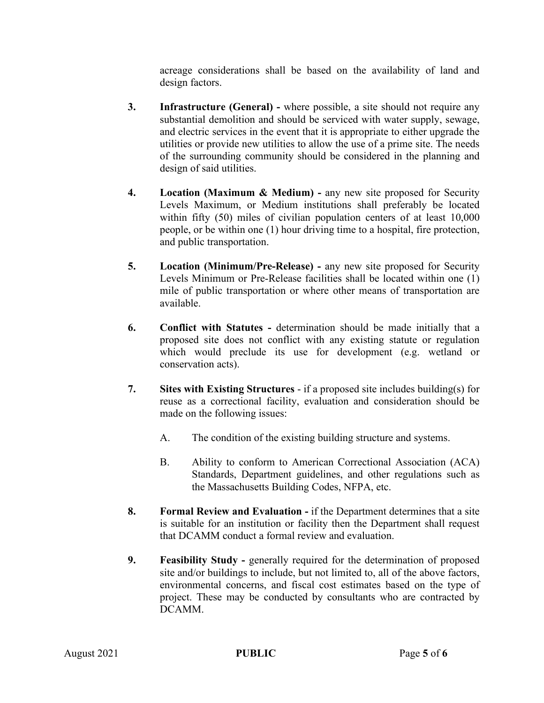acreage considerations shall be based on the availability of land and design factors.

- **3. Infrastructure (General) -** where possible, a site should not require any substantial demolition and should be serviced with water supply, sewage, and electric services in the event that it is appropriate to either upgrade the utilities or provide new utilities to allow the use of a prime site. The needs of the surrounding community should be considered in the planning and design of said utilities.
- **4. Location (Maximum & Medium) -** any new site proposed for Security Levels Maximum, or Medium institutions shall preferably be located within fifty (50) miles of civilian population centers of at least 10,000 people, or be within one (1) hour driving time to a hospital, fire protection, and public transportation.
- **5. Location (Minimum/Pre-Release) -** any new site proposed for Security Levels Minimum or Pre-Release facilities shall be located within one (1) mile of public transportation or where other means of transportation are available.
- **6. Conflict with Statutes -** determination should be made initially that a proposed site does not conflict with any existing statute or regulation which would preclude its use for development (e.g. wetland or conservation acts).
- **7. Sites with Existing Structures** if a proposed site includes building(s) for reuse as a correctional facility, evaluation and consideration should be made on the following issues:
	- A. The condition of the existing building structure and systems.
	- B. Ability to conform to American Correctional Association (ACA) Standards, Department guidelines, and other regulations such as the Massachusetts Building Codes, NFPA, etc.
- **8. Formal Review and Evaluation -** if the Department determines that a site is suitable for an institution or facility then the Department shall request that DCAMM conduct a formal review and evaluation.
- **9. Feasibility Study -** generally required for the determination of proposed site and/or buildings to include, but not limited to, all of the above factors, environmental concerns, and fiscal cost estimates based on the type of project. These may be conducted by consultants who are contracted by DCAMM.